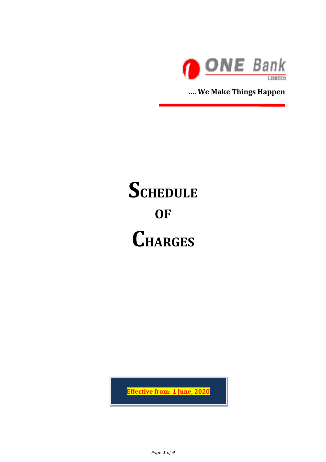

**…. We Make Things Happen**

## **SCHEDULE OF CHARGES**

**Effective from: 1 June, 2020**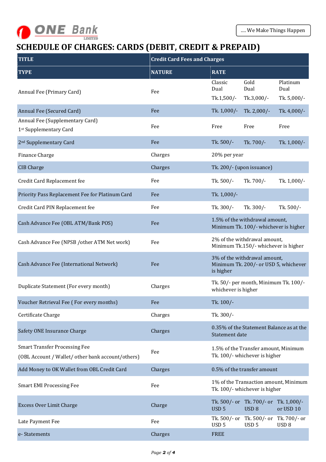

## **SCHEDULE OF CHARGES: CARDS (DEBIT, CREDIT & PREPAID)**

| <b>TITLE</b>                                                                              | <b>Credit Card Fees and Charges</b> |                                                                                                          |  |  |
|-------------------------------------------------------------------------------------------|-------------------------------------|----------------------------------------------------------------------------------------------------------|--|--|
| <b>TYPE</b>                                                                               | <b>NATURE</b>                       | <b>RATE</b>                                                                                              |  |  |
| Annual Fee (Primary Card)                                                                 | Fee                                 | Classic<br>Gold<br>Platinum<br>Dual<br>Dual<br>Dual<br>Tk.1,500/-<br>Tk.3,000/-<br>Tk. 5,000/-           |  |  |
| Annual Fee (Secured Card)                                                                 | Fee                                 | Tk. 1,000/-<br>Tk. 4,000/-<br>Tk. 2,000/-                                                                |  |  |
| Annual Fee (Supplementary Card)<br>1st Supplementary Card                                 | Fee                                 | Free<br>Free<br>Free                                                                                     |  |  |
| 2 <sup>nd</sup> Supplementary Card                                                        | Fee                                 | Tk. 500/-<br>Tk. 700/-<br>Tk. 1,000/-                                                                    |  |  |
| Finance Charge                                                                            | Charges                             | 20% per year                                                                                             |  |  |
| <b>CIB Charge</b>                                                                         | Charges                             | Tk. 200/- (upon issuance)                                                                                |  |  |
| Credit Card Replacement fee                                                               | Fee                                 | Tk. 500/-<br>Tk. 700/-<br>Tk. 1,000/-                                                                    |  |  |
| Priority Pass Replacement Fee for Platinum Card                                           | Fee                                 | Tk. 1,000/-                                                                                              |  |  |
| Credit Card PIN Replacement fee                                                           | Fee                                 | Tk. 300/-<br>Tk. 500/-<br>Tk. 300/-                                                                      |  |  |
| Cash Advance Fee (OBL ATM/Bank POS)                                                       | Fee                                 | 1.5% of the withdrawal amount,<br>Minimum Tk. 100/- whichever is higher                                  |  |  |
| Cash Advance Fee (NPSB / other ATM Net work)                                              | Fee                                 | 2% of the withdrawal amount,<br>Minimum Tk.150/- whichever is higher                                     |  |  |
| Cash Advance Fee (International Network)                                                  | Fee                                 | 3% of the withdrawal amount,<br>Minimum Tk. 200/- or USD 5, whichever<br>is higher                       |  |  |
| Duplicate Statement (For every month)                                                     | Charges                             | Tk. 50/- per month, Minimum Tk. 100/-<br>whichever is higher                                             |  |  |
| Voucher Retrieval Fee (For every months)                                                  | Fee                                 | Tk. 100/-                                                                                                |  |  |
| Certificate Charge                                                                        | Charges                             | Tk. 300/-                                                                                                |  |  |
| Safety ONE Insurance Charge                                                               | Charges                             | 0.35% of the Statement Balance as at the<br>Statement date                                               |  |  |
| <b>Smart Transfer Processing Fee</b><br>(OBL Account / Wallet/ other bank account/others) | Fee                                 | 1.5% of the Transfer amount, Minimum<br>Tk. 100/- whichever is higher                                    |  |  |
| Add Money to OK Wallet from OBL Credit Card                                               | Charges                             | 0.5% of the transfer amount                                                                              |  |  |
| <b>Smart EMI Processing Fee</b>                                                           | Fee                                 | 1% of the Transaction amount, Minimum<br>Tk. 100/- whichever is higher                                   |  |  |
| <b>Excess Over Limit Charge</b>                                                           | Charge                              | Tk. 500/- or Tk. 700/- or Tk. 1,000/-<br>USD <sub>5</sub><br>USD <sub>8</sub><br>or USD 10               |  |  |
| Late Payment Fee                                                                          | Fee                                 | Tk. 500/- or<br>Tk. 700/- or<br>Tk. 500/- or<br>USD <sub>5</sub><br>USD <sub>5</sub><br>USD <sub>8</sub> |  |  |
| e-Statements                                                                              | Charges                             | <b>FREE</b>                                                                                              |  |  |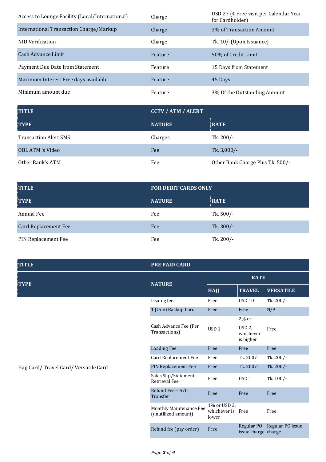| Access to Lounge Facility (Local/International) | Charge  | USD 27 (4 Free visit per Calendar Year<br>for Cardholder) |
|-------------------------------------------------|---------|-----------------------------------------------------------|
| International Transaction Charge/Markup         | Charge  | 3\% of Transaction Amount                                 |
| NID Verification                                | Charge  | Tk. 10/-(Upon Issuance)                                   |
| Cash Advance Limit                              | Feature | 50% of Credit Limit                                       |
| Payment Due Date from Statement                 | Feature | 15 Days from Statement                                    |
| Maximum Interest Free days available            | Feature | 45 Days                                                   |
| Minimum amount due                              | Feature | 3% Of the Outstanding Amount                              |

| <b>TITLE</b>                 | <b>CCTV / ATM / ALERT</b> |                                  |
|------------------------------|---------------------------|----------------------------------|
| <b>TYPE</b>                  | <b>NATURE</b>             | <b>RATE</b>                      |
| <b>Transaction Alert SMS</b> | Charges                   | Tk. 200/-                        |
| OBL ATM 's Video             | Fee                       | Tk. 3,000/-                      |
| Other Bank's ATM             | Fee                       | Other Bank Charge Plus Tk. 500/- |

| <b>TITLE</b>                | <b>FOR DEBIT CARDS ONLY</b> |             |
|-----------------------------|-----------------------------|-------------|
| <b>TYPE</b>                 | <b>NATURE</b>               | <b>RATE</b> |
| Annual Fee                  | Fee                         | Tk. 500/-   |
| <b>Card Replacement Fee</b> | Fee                         | Tk. 300/-   |
| PIN Replacement Fee         | Fee                         | Tk. 200/-   |

| <b>TITLE</b>                         | <b>PRE PAID CARD</b>                           |                                            |                                            |                  |
|--------------------------------------|------------------------------------------------|--------------------------------------------|--------------------------------------------|------------------|
| <b>TYPE</b>                          | <b>NATURE</b>                                  | <b>RATE</b>                                |                                            |                  |
|                                      |                                                | <b>HAJJ</b>                                | <b>TRAVEL</b>                              | <b>VERSATILE</b> |
| Hajj Card/Travel Card/Versatile Card | Issuing fee                                    | Free                                       | <b>USD 10</b>                              | Tk. 200/-        |
|                                      | 1 (One) Backup Card                            | Free                                       | Free                                       | N/A              |
|                                      |                                                |                                            | $2\%$ or                                   |                  |
|                                      | Cash Advance Fee (Per<br>Transactions)         | USD <sub>1</sub>                           | USD <sub>2</sub><br>whichever<br>is higher | Free             |
|                                      | <b>Loading Fee</b>                             | Free                                       | Free                                       | Free             |
|                                      | Card Replacement Fee                           | Free                                       | Tk. 200/-                                  | Tk. 200/-        |
|                                      | PIN Replacement Fee                            | Free                                       | Tk. 200/-                                  | Tk. 200/-        |
|                                      | Sales Slip/Statement<br>Retrieval Fee          | Free                                       | USD <sub>1</sub>                           | Tk. 100/-        |
|                                      | Refund Fee $-A/C$<br>Transfer                  | Free                                       | Free                                       | Free             |
|                                      | Monthly Maintenance Fee<br>(unutilized amount) | 1% or USD 2,<br>whichever is Free<br>lower |                                            | Free             |
|                                      | Refund fee (pay order)                         | Free                                       | Regular PO<br>issue charge charge          | Regular PO issue |